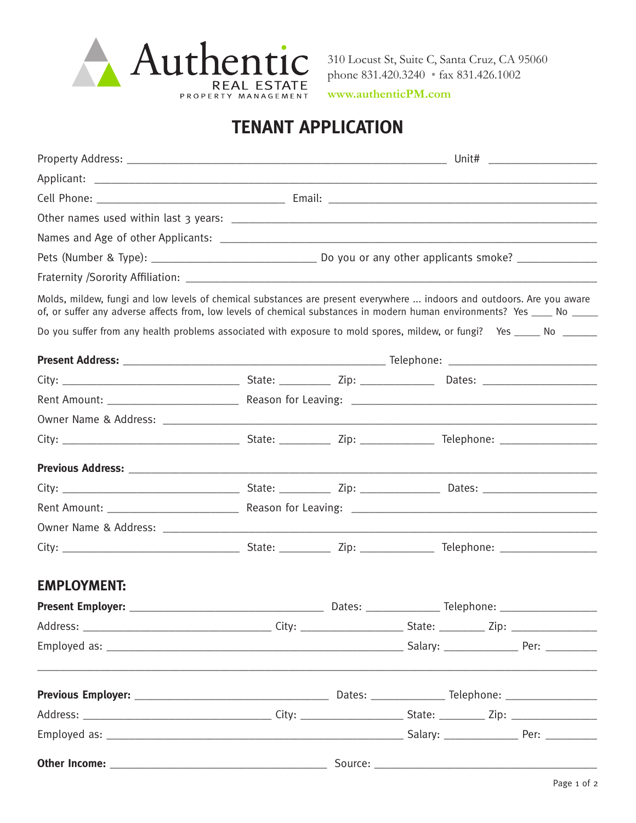

310 Locust St, Suite C, Santa Cruz, CA 95060 phone 831.420.3240 • fax 831.426.1002

**www.authenticPM.com**

# **TENANT APPLICATION**

|                    |  |  | Molds, mildew, fungi and low levels of chemical substances are present everywhere  indoors and outdoors. Are you aware<br>of, or suffer any adverse affects from, low levels of chemical substances in modern human environments? Yes ____ No _____ |  |  |  |  |
|--------------------|--|--|-----------------------------------------------------------------------------------------------------------------------------------------------------------------------------------------------------------------------------------------------------|--|--|--|--|
|                    |  |  | Do you suffer from any health problems associated with exposure to mold spores, mildew, or fungi? Yes _____ No ______                                                                                                                               |  |  |  |  |
|                    |  |  |                                                                                                                                                                                                                                                     |  |  |  |  |
|                    |  |  |                                                                                                                                                                                                                                                     |  |  |  |  |
|                    |  |  |                                                                                                                                                                                                                                                     |  |  |  |  |
|                    |  |  |                                                                                                                                                                                                                                                     |  |  |  |  |
|                    |  |  |                                                                                                                                                                                                                                                     |  |  |  |  |
|                    |  |  |                                                                                                                                                                                                                                                     |  |  |  |  |
|                    |  |  |                                                                                                                                                                                                                                                     |  |  |  |  |
|                    |  |  |                                                                                                                                                                                                                                                     |  |  |  |  |
|                    |  |  |                                                                                                                                                                                                                                                     |  |  |  |  |
|                    |  |  |                                                                                                                                                                                                                                                     |  |  |  |  |
| <b>EMPLOYMENT:</b> |  |  |                                                                                                                                                                                                                                                     |  |  |  |  |
|                    |  |  |                                                                                                                                                                                                                                                     |  |  |  |  |
|                    |  |  |                                                                                                                                                                                                                                                     |  |  |  |  |
|                    |  |  |                                                                                                                                                                                                                                                     |  |  |  |  |
|                    |  |  |                                                                                                                                                                                                                                                     |  |  |  |  |
|                    |  |  |                                                                                                                                                                                                                                                     |  |  |  |  |
|                    |  |  |                                                                                                                                                                                                                                                     |  |  |  |  |
|                    |  |  |                                                                                                                                                                                                                                                     |  |  |  |  |